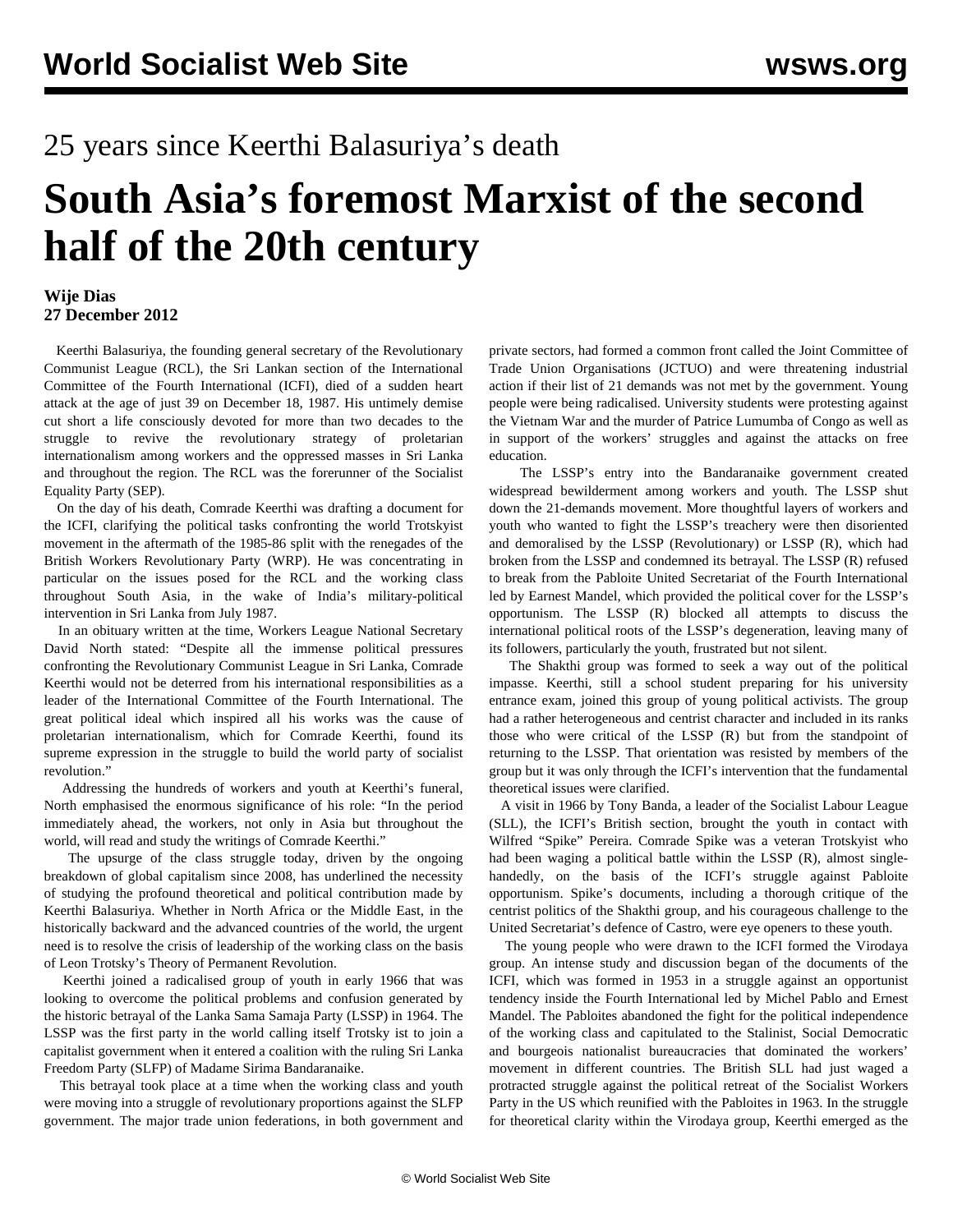## 25 years since Keerthi Balasuriya's death

## **South Asia's foremost Marxist of the second half of the 20th century**

## **Wije Dias 27 December 2012**

 Keerthi Balasuriya, the founding general secretary of the Revolutionary Communist League (RCL), the Sri Lankan section of the International Committee of the Fourth International (ICFI), died of a sudden heart attack at the age of just 39 on December 18, 1987. His untimely demise cut short a life consciously devoted for more than two decades to the struggle to revive the revolutionary strategy of proletarian internationalism among workers and the oppressed masses in Sri Lanka and throughout the region. The RCL was the forerunner of the Socialist Equality Party (SEP).

 On the day of his death, Comrade Keerthi was drafting a document for the ICFI, clarifying the political tasks confronting the world Trotskyist movement in the aftermath of the 1985-86 split with the renegades of the British Workers Revolutionary Party (WRP). He was concentrating in particular on the issues posed for the RCL and the working class throughout South Asia, in the wake of India's military-political intervention in Sri Lanka from July 1987.

 In an obituary written at the time, Workers League National Secretary David North stated: "Despite all the immense political pressures confronting the Revolutionary Communist League in Sri Lanka, Comrade Keerthi would not be deterred from his international responsibilities as a leader of the International Committee of the Fourth International. The great political ideal which inspired all his works was the cause of proletarian internationalism, which for Comrade Keerthi, found its supreme expression in the struggle to build the world party of socialist revolution."

 Addressing the hundreds of workers and youth at Keerthi's funeral, North emphasised the enormous significance of his role: "In the period immediately ahead, the workers, not only in Asia but throughout the world, will read and study the writings of Comrade Keerthi."

 The upsurge of the class struggle today, driven by the ongoing breakdown of global capitalism since 2008, has underlined the necessity of studying the profound theoretical and political contribution made by Keerthi Balasuriya. Whether in North Africa or the Middle East, in the historically backward and the advanced countries of the world, the urgent need is to resolve the crisis of leadership of the working class on the basis of Leon Trotsky's Theory of Permanent Revolution.

 Keerthi joined a radicalised group of youth in early 1966 that was looking to overcome the political problems and confusion generated by the historic betrayal of the Lanka Sama Samaja Party (LSSP) in 1964. The LSSP was the first party in the world calling itself Trotsky ist to join a capitalist government when it entered a coalition with the ruling Sri Lanka Freedom Party (SLFP) of Madame Sirima Bandaranaike.

 This betrayal took place at a time when the working class and youth were moving into a struggle of revolutionary proportions against the SLFP government. The major trade union federations, in both government and private sectors, had formed a common front called the Joint Committee of Trade Union Organisations (JCTUO) and were threatening industrial action if their list of 21 demands was not met by the government. Young people were being radicalised. University students were protesting against the Vietnam War and the murder of Patrice Lumumba of Congo as well as in support of the workers' struggles and against the attacks on free education.

 The LSSP's entry into the Bandaranaike government created widespread bewilderment among workers and youth. The LSSP shut down the 21-demands movement. More thoughtful layers of workers and youth who wanted to fight the LSSP's treachery were then disoriented and demoralised by the LSSP (Revolutionary) or LSSP (R), which had broken from the LSSP and condemned its betrayal. The LSSP (R) refused to break from the Pabloite United Secretariat of the Fourth International led by Earnest Mandel, which provided the political cover for the LSSP's opportunism. The LSSP (R) blocked all attempts to discuss the international political roots of the LSSP's degeneration, leaving many of its followers, particularly the youth, frustrated but not silent.

 The Shakthi group was formed to seek a way out of the political impasse. Keerthi, still a school student preparing for his university entrance exam, joined this group of young political activists. The group had a rather heterogeneous and centrist character and included in its ranks those who were critical of the LSSP (R) but from the standpoint of returning to the LSSP. That orientation was resisted by members of the group but it was only through the ICFI's intervention that the fundamental theoretical issues were clarified.

 A visit in 1966 by Tony Banda, a leader of the Socialist Labour League (SLL), the ICFI's British section, brought the youth in contact with Wilfred "Spike" Pereira. Comrade Spike was a veteran Trotskyist who had been waging a political battle within the LSSP (R), almost singlehandedly, on the basis of the ICFI's struggle against Pabloite opportunism. Spike's documents, including a thorough critique of the centrist politics of the Shakthi group, and his courageous challenge to the United Secretariat's defence of Castro, were eye openers to these youth.

 The young people who were drawn to the ICFI formed the Virodaya group. An intense study and discussion began of the documents of the ICFI, which was formed in 1953 in a struggle against an opportunist tendency inside the Fourth International led by Michel Pablo and Ernest Mandel. The Pabloites abandoned the fight for the political independence of the working class and capitulated to the Stalinist, Social Democratic and bourgeois nationalist bureaucracies that dominated the workers' movement in different countries. The British SLL had just waged a protracted struggle against the political retreat of the Socialist Workers Party in the US which reunified with the Pabloites in 1963. In the struggle for theoretical clarity within the Virodaya group, Keerthi emerged as the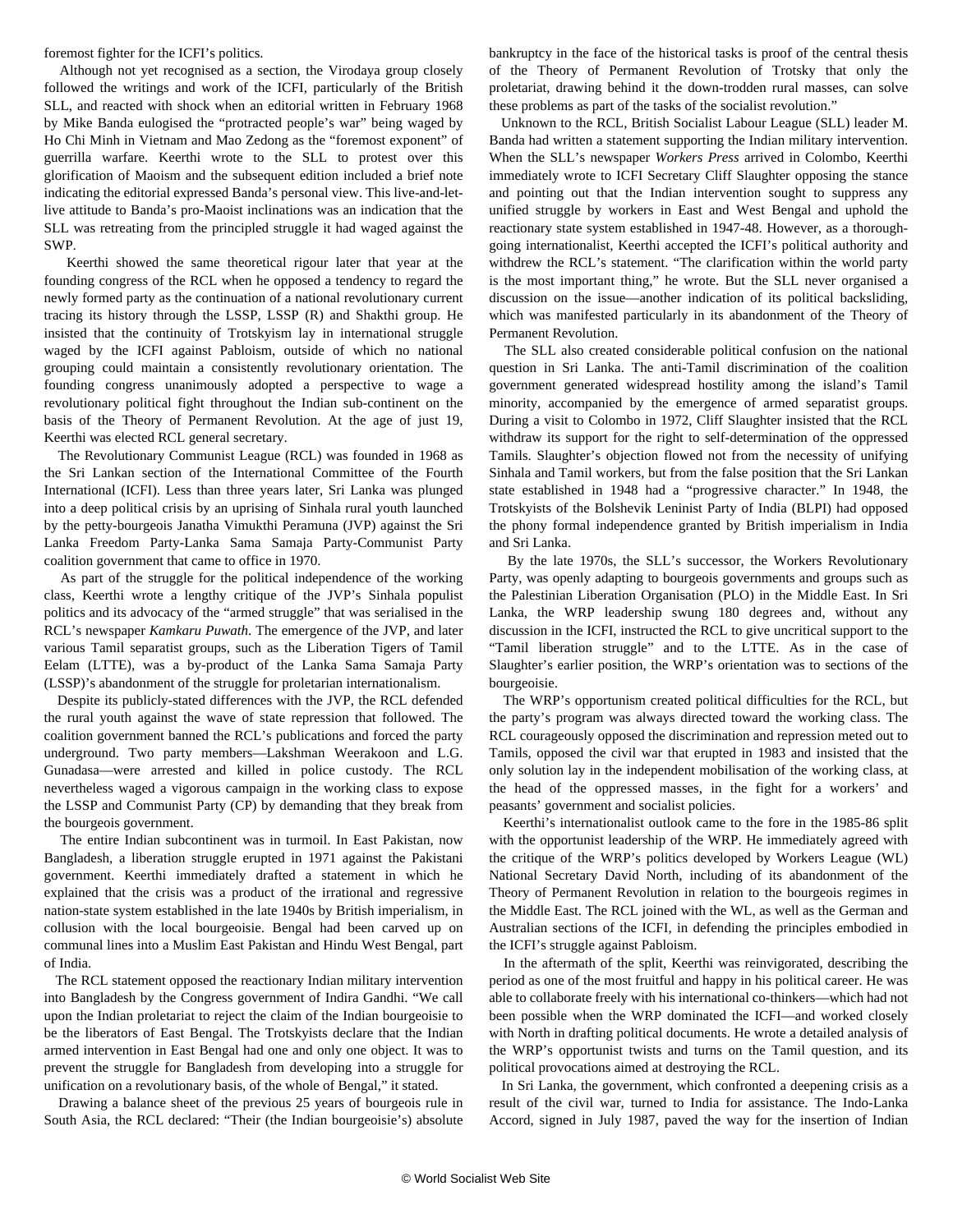foremost fighter for the ICFI's politics.

 Although not yet recognised as a section, the Virodaya group closely followed the writings and work of the ICFI, particularly of the British SLL, and reacted with shock when an editorial written in February 1968 by Mike Banda eulogised the "protracted people's war" being waged by Ho Chi Minh in Vietnam and Mao Zedong as the "foremost exponent" of guerrilla warfare. Keerthi wrote to the SLL to protest over this glorification of Maoism and the subsequent edition included a brief note indicating the editorial expressed Banda's personal view. This live-and-letlive attitude to Banda's pro-Maoist inclinations was an indication that the SLL was retreating from the principled struggle it had waged against the SWP.

 Keerthi showed the same theoretical rigour later that year at the founding congress of the RCL when he opposed a tendency to regard the newly formed party as the continuation of a national revolutionary current tracing its history through the LSSP, LSSP (R) and Shakthi group. He insisted that the continuity of Trotskyism lay in international struggle waged by the ICFI against Pabloism, outside of which no national grouping could maintain a consistently revolutionary orientation. The founding congress unanimously adopted a perspective to wage a revolutionary political fight throughout the Indian sub-continent on the basis of the Theory of Permanent Revolution. At the age of just 19, Keerthi was elected RCL general secretary.

 The Revolutionary Communist League (RCL) was founded in 1968 as the Sri Lankan section of the International Committee of the Fourth International (ICFI). Less than three years later, Sri Lanka was plunged into a deep political crisis by an uprising of Sinhala rural youth launched by the petty-bourgeois Janatha Vimukthi Peramuna (JVP) against the Sri Lanka Freedom Party-Lanka Sama Samaja Party-Communist Party coalition government that came to office in 1970.

 As part of the struggle for the political independence of the working class, Keerthi wrote a lengthy critique of the JVP's Sinhala populist politics and its advocacy of the "armed struggle" that was serialised in the RCL's newspaper *Kamkaru Puwath*. The emergence of the JVP, and later various Tamil separatist groups, such as the Liberation Tigers of Tamil Eelam (LTTE), was a by-product of the Lanka Sama Samaja Party (LSSP)'s abandonment of the struggle for proletarian internationalism.

 Despite its publicly-stated differences with the JVP, the RCL defended the rural youth against the wave of state repression that followed. The coalition government banned the RCL's publications and forced the party underground. Two party members—Lakshman Weerakoon and L.G. Gunadasa—were arrested and killed in police custody. The RCL nevertheless waged a vigorous campaign in the working class to expose the LSSP and Communist Party (CP) by demanding that they break from the bourgeois government.

 The entire Indian subcontinent was in turmoil. In East Pakistan, now Bangladesh, a liberation struggle erupted in 1971 against the Pakistani government. Keerthi immediately drafted a statement in which he explained that the crisis was a product of the irrational and regressive nation-state system established in the late 1940s by British imperialism, in collusion with the local bourgeoisie. Bengal had been carved up on communal lines into a Muslim East Pakistan and Hindu West Bengal, part of India.

 The RCL statement opposed the reactionary Indian military intervention into Bangladesh by the Congress government of Indira Gandhi. "We call upon the Indian proletariat to reject the claim of the Indian bourgeoisie to be the liberators of East Bengal. The Trotskyists declare that the Indian armed intervention in East Bengal had one and only one object. It was to prevent the struggle for Bangladesh from developing into a struggle for unification on a revolutionary basis, of the whole of Bengal," it stated.

 Drawing a balance sheet of the previous 25 years of bourgeois rule in South Asia, the RCL declared: "Their (the Indian bourgeoisie's) absolute bankruptcy in the face of the historical tasks is proof of the central thesis of the Theory of Permanent Revolution of Trotsky that only the proletariat, drawing behind it the down-trodden rural masses, can solve these problems as part of the tasks of the socialist revolution."

 Unknown to the RCL, British Socialist Labour League (SLL) leader M. Banda had written a statement supporting the Indian military intervention. When the SLL's newspaper *Workers Press* arrived in Colombo, Keerthi immediately wrote to ICFI Secretary Cliff Slaughter opposing the stance and pointing out that the Indian intervention sought to suppress any unified struggle by workers in East and West Bengal and uphold the reactionary state system established in 1947-48. However, as a thoroughgoing internationalist, Keerthi accepted the ICFI's political authority and withdrew the RCL's statement. "The clarification within the world party is the most important thing," he wrote. But the SLL never organised a discussion on the issue—another indication of its political backsliding, which was manifested particularly in its abandonment of the Theory of Permanent Revolution.

 The SLL also created considerable political confusion on the national question in Sri Lanka. The anti-Tamil discrimination of the coalition government generated widespread hostility among the island's Tamil minority, accompanied by the emergence of armed separatist groups. During a visit to Colombo in 1972, Cliff Slaughter insisted that the RCL withdraw its support for the right to self-determination of the oppressed Tamils. Slaughter's objection flowed not from the necessity of unifying Sinhala and Tamil workers, but from the false position that the Sri Lankan state established in 1948 had a "progressive character." In 1948, the Trotskyists of the Bolshevik Leninist Party of India (BLPI) had opposed the phony formal independence granted by British imperialism in India and Sri Lanka.

 By the late 1970s, the SLL's successor, the Workers Revolutionary Party, was openly adapting to bourgeois governments and groups such as the Palestinian Liberation Organisation (PLO) in the Middle East. In Sri Lanka, the WRP leadership swung 180 degrees and, without any discussion in the ICFI, instructed the RCL to give uncritical support to the "Tamil liberation struggle" and to the LTTE. As in the case of Slaughter's earlier position, the WRP's orientation was to sections of the bourgeoisie.

 The WRP's opportunism created political difficulties for the RCL, but the party's program was always directed toward the working class. The RCL courageously opposed the discrimination and repression meted out to Tamils, opposed the civil war that erupted in 1983 and insisted that the only solution lay in the independent mobilisation of the working class, at the head of the oppressed masses, in the fight for a workers' and peasants' government and socialist policies.

 Keerthi's internationalist outlook came to the fore in the 1985-86 split with the opportunist leadership of the WRP. He immediately agreed with the critique of the WRP's politics developed by Workers League (WL) National Secretary David North, including of its abandonment of the Theory of Permanent Revolution in relation to the bourgeois regimes in the Middle East. The RCL joined with the WL, as well as the German and Australian sections of the ICFI, in defending the principles embodied in the ICFI's struggle against Pabloism.

 In the aftermath of the split, Keerthi was reinvigorated, describing the period as one of the most fruitful and happy in his political career. He was able to collaborate freely with his international co-thinkers—which had not been possible when the WRP dominated the ICFI—and worked closely with North in drafting political documents. He wrote a detailed analysis of the WRP's opportunist twists and turns on the Tamil question, and its political provocations aimed at destroying the RCL.

 In Sri Lanka, the government, which confronted a deepening crisis as a result of the civil war, turned to India for assistance. The Indo-Lanka Accord, signed in July 1987, paved the way for the insertion of Indian